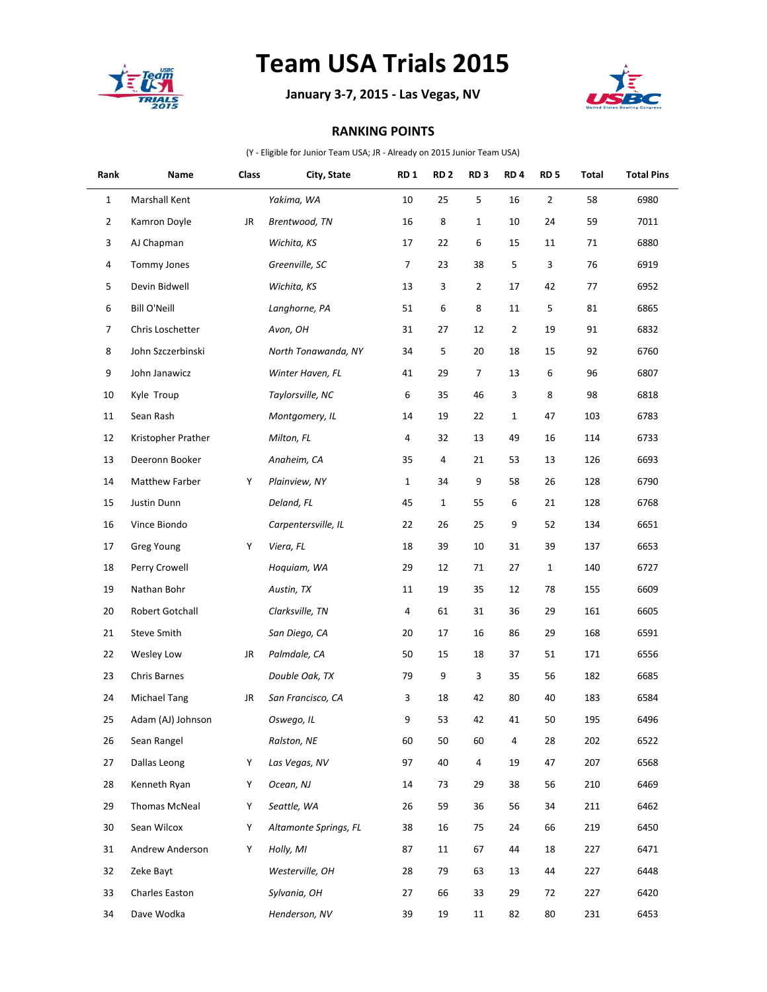

## **Team USA Trials 2015**

**January 3-7, 2015 - Las Vegas, NV**



## **RANKING POINTS**

(Y - Eligible for Junior Team USA; JR - Already on 2015 Junior Team USA)

| Rank           | Name                | Class | City, State           | <b>RD1</b>     | RD <sub>2</sub> | RD <sub>3</sub> | RD <sub>4</sub> | RD <sub>5</sub> | Total | <b>Total Pins</b> |
|----------------|---------------------|-------|-----------------------|----------------|-----------------|-----------------|-----------------|-----------------|-------|-------------------|
| $\mathbf{1}$   | Marshall Kent       |       | Yakima, WA            | 10             | 25              | 5               | 16              | $\mathbf 2$     | 58    | 6980              |
| $\overline{2}$ | Kamron Doyle        | JR    | Brentwood, TN         | 16             | 8               | $\mathbf{1}$    | 10              | 24              | 59    | 7011              |
| 3              | AJ Chapman          |       | Wichita, KS           | 17             | 22              | 6               | 15              | 11              | 71    | 6880              |
| 4              | Tommy Jones         |       | Greenville, SC        | $\overline{7}$ | 23              | 38              | 5               | 3               | 76    | 6919              |
| 5              | Devin Bidwell       |       | Wichita, KS           | 13             | 3               | $\overline{2}$  | 17              | 42              | 77    | 6952              |
| 6              | <b>Bill O'Neill</b> |       | Langhorne, PA         | 51             | 6               | 8               | 11              | 5               | 81    | 6865              |
| 7              | Chris Loschetter    |       | Avon, OH              | 31             | 27              | 12              | $\overline{2}$  | 19              | 91    | 6832              |
| 8              | John Szczerbinski   |       | North Tonawanda, NY   | 34             | 5               | 20              | 18              | 15              | 92    | 6760              |
| 9              | John Janawicz       |       | Winter Haven, FL      | 41             | 29              | $\overline{7}$  | 13              | 6               | 96    | 6807              |
| 10             | Kyle Troup          |       | Taylorsville, NC      | 6              | 35              | 46              | 3               | 8               | 98    | 6818              |
| 11             | Sean Rash           |       | Montgomery, IL        | 14             | 19              | 22              | $\mathbf{1}$    | 47              | 103   | 6783              |
| 12             | Kristopher Prather  |       | Milton, FL            | 4              | 32              | 13              | 49              | 16              | 114   | 6733              |
| 13             | Deeronn Booker      |       | Anaheim, CA           | 35             | 4               | 21              | 53              | 13              | 126   | 6693              |
| 14             | Matthew Farber      | Υ     | Plainview, NY         | $\mathbf{1}$   | 34              | 9               | 58              | 26              | 128   | 6790              |
| 15             | Justin Dunn         |       | Deland, FL            | 45             | $\mathbf{1}$    | 55              | 6               | 21              | 128   | 6768              |
| 16             | Vince Biondo        |       | Carpentersville, IL   | 22             | 26              | 25              | 9               | 52              | 134   | 6651              |
| 17             | Greg Young          | Υ     | Viera, FL             | 18             | 39              | 10              | 31              | 39              | 137   | 6653              |
| 18             | Perry Crowell       |       | Hoquiam, WA           | 29             | 12              | 71              | 27              | $\mathbf{1}$    | 140   | 6727              |
| 19             | Nathan Bohr         |       | Austin, TX            | 11             | 19              | 35              | 12              | 78              | 155   | 6609              |
| 20             | Robert Gotchall     |       | Clarksville, TN       | 4              | 61              | 31              | 36              | 29              | 161   | 6605              |
| 21             | Steve Smith         |       | San Diego, CA         | 20             | 17              | 16              | 86              | 29              | 168   | 6591              |
| 22             | Wesley Low          | JR    | Palmdale, CA          | 50             | 15              | 18              | 37              | 51              | 171   | 6556              |
| 23             | Chris Barnes        |       | Double Oak, TX        | 79             | 9               | 3               | 35              | 56              | 182   | 6685              |
| 24             | <b>Michael Tang</b> | JR    | San Francisco, CA     | 3              | 18              | 42              | 80              | 40              | 183   | 6584              |
| 25             | Adam (AJ) Johnson   |       | Oswego, IL            | 9              | 53              | 42              | 41              | 50              | 195   | 6496              |
| 26             | Sean Rangel         |       | Ralston, NE           | 60             | 50              | 60              | 4               | 28              | 202   | 6522              |
| 27             | Dallas Leong        | Y     | Las Vegas, NV         | 97             | 40              | 4               | 19              | 47              | 207   | 6568              |
| 28             | Kenneth Ryan        | Υ     | Ocean, NJ             | 14             | 73              | 29              | 38              | 56              | 210   | 6469              |
| 29             | Thomas McNeal       | Y     | Seattle, WA           | 26             | 59              | 36              | 56              | 34              | 211   | 6462              |
| 30             | Sean Wilcox         | Y     | Altamonte Springs, FL | 38             | 16              | 75              | 24              | 66              | 219   | 6450              |
| 31             | Andrew Anderson     | Y     | Holly, MI             | 87             | 11              | 67              | 44              | 18              | 227   | 6471              |
| 32             | Zeke Bayt           |       | Westerville, OH       | 28             | 79              | 63              | 13              | 44              | 227   | 6448              |
| 33             | Charles Easton      |       | Sylvania, OH          | 27             | 66              | 33              | 29              | 72              | 227   | 6420              |
| 34             | Dave Wodka          |       | Henderson, NV         | 39             | 19              | $11\,$          | 82              | 80              | 231   | 6453              |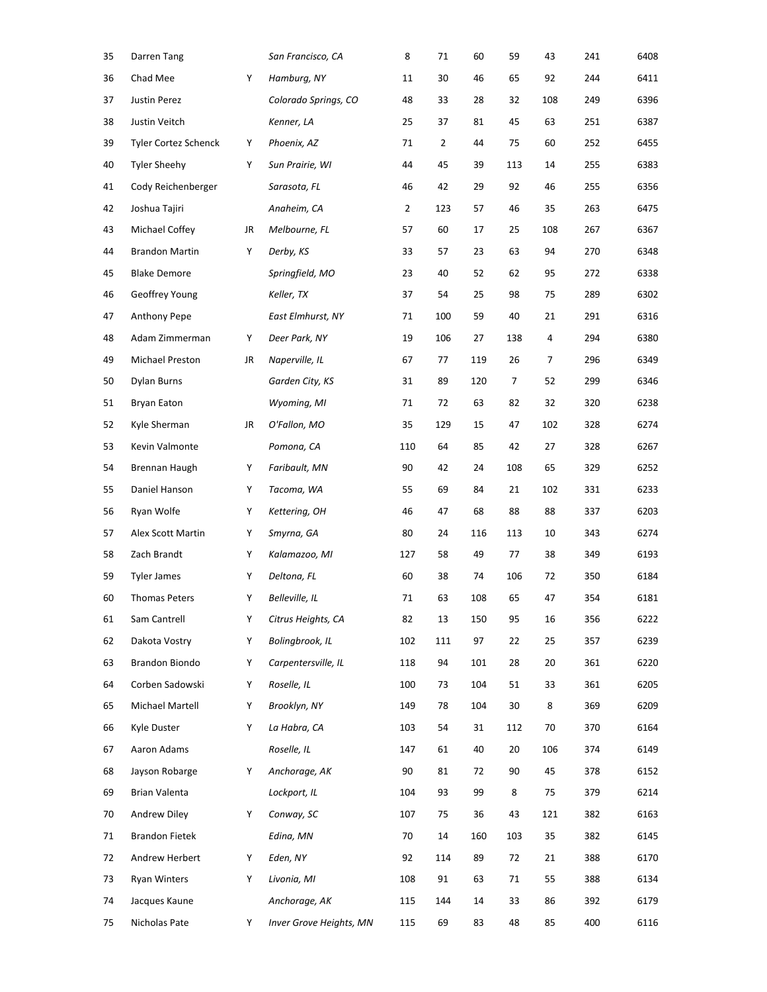| 35 | Darren Tang                 |    | San Francisco, CA       | 8   | 71  | 60  | 59  | 43  | 241 | 6408 |
|----|-----------------------------|----|-------------------------|-----|-----|-----|-----|-----|-----|------|
| 36 | Chad Mee                    | Υ  | Hamburg, NY             | 11  | 30  | 46  | 65  | 92  | 244 | 6411 |
| 37 | Justin Perez                |    | Colorado Springs, CO    | 48  | 33  | 28  | 32  | 108 | 249 | 6396 |
| 38 | Justin Veitch               |    | Kenner, LA              | 25  | 37  | 81  | 45  | 63  | 251 | 6387 |
| 39 | <b>Tyler Cortez Schenck</b> | Υ  | Phoenix, AZ             | 71  | 2   | 44  | 75  | 60  | 252 | 6455 |
| 40 | <b>Tyler Sheehy</b>         | Y  | Sun Prairie, WI         | 44  | 45  | 39  | 113 | 14  | 255 | 6383 |
| 41 | Cody Reichenberger          |    | Sarasota, FL            | 46  | 42  | 29  | 92  | 46  | 255 | 6356 |
| 42 | Joshua Tajiri               |    | Anaheim, CA             | 2   | 123 | 57  | 46  | 35  | 263 | 6475 |
| 43 | Michael Coffey              | JR | Melbourne, FL           | 57  | 60  | 17  | 25  | 108 | 267 | 6367 |
| 44 | <b>Brandon Martin</b>       | Υ  | Derby, KS               | 33  | 57  | 23  | 63  | 94  | 270 | 6348 |
| 45 | <b>Blake Demore</b>         |    | Springfield, MO         | 23  | 40  | 52  | 62  | 95  | 272 | 6338 |
| 46 | Geoffrey Young              |    | Keller, TX              | 37  | 54  | 25  | 98  | 75  | 289 | 6302 |
| 47 | Anthony Pepe                |    | East Elmhurst, NY       | 71  | 100 | 59  | 40  | 21  | 291 | 6316 |
| 48 | Adam Zimmerman              | Υ  | Deer Park, NY           | 19  | 106 | 27  | 138 | 4   | 294 | 6380 |
| 49 | Michael Preston             | JR | Naperville, IL          | 67  | 77  | 119 | 26  | 7   | 296 | 6349 |
| 50 | Dylan Burns                 |    | Garden City, KS         | 31  | 89  | 120 | 7   | 52  | 299 | 6346 |
| 51 | <b>Bryan Eaton</b>          |    | Wyoming, MI             | 71  | 72  | 63  | 82  | 32  | 320 | 6238 |
| 52 | Kyle Sherman                | JR | O'Fallon, MO            | 35  | 129 | 15  | 47  | 102 | 328 | 6274 |
| 53 | Kevin Valmonte              |    | Pomona, CA              | 110 | 64  | 85  | 42  | 27  | 328 | 6267 |
| 54 | Brennan Haugh               | Y  | Faribault, MN           | 90  | 42  | 24  | 108 | 65  | 329 | 6252 |
| 55 | Daniel Hanson               | Υ  | Tacoma, WA              | 55  | 69  | 84  | 21  | 102 | 331 | 6233 |
| 56 | Ryan Wolfe                  | Υ  | Kettering, OH           | 46  | 47  | 68  | 88  | 88  | 337 | 6203 |
| 57 | Alex Scott Martin           | Υ  | Smyrna, GA              | 80  | 24  | 116 | 113 | 10  | 343 | 6274 |
| 58 | Zach Brandt                 | Υ  | Kalamazoo, MI           | 127 | 58  | 49  | 77  | 38  | 349 | 6193 |
| 59 | <b>Tyler James</b>          | Υ  | Deltona, FL             | 60  | 38  | 74  | 106 | 72  | 350 | 6184 |
| 60 | <b>Thomas Peters</b>        | Υ  | Belleville, IL          | 71  | 63  | 108 | 65  | 47  | 354 | 6181 |
| 61 | Sam Cantrell                | Υ  | Citrus Heights, CA      | 82  | 13  | 150 | 95  | 16  | 356 | 6222 |
| 62 | Dakota Vostry               | Y  | Bolingbrook, IL         | 102 | 111 | 97  | 22  | 25  | 357 | 6239 |
| 63 | Brandon Biondo              | Υ  | Carpentersville, IL     | 118 | 94  | 101 | 28  | 20  | 361 | 6220 |
| 64 | Corben Sadowski             | Υ  | Roselle, IL             | 100 | 73  | 104 | 51  | 33  | 361 | 6205 |
| 65 | Michael Martell             | Υ  | Brooklyn, NY            | 149 | 78  | 104 | 30  | 8   | 369 | 6209 |
| 66 | Kyle Duster                 | Y  | La Habra, CA            | 103 | 54  | 31  | 112 | 70  | 370 | 6164 |
| 67 | Aaron Adams                 |    | Roselle, IL             | 147 | 61  | 40  | 20  | 106 | 374 | 6149 |
| 68 | Jayson Robarge              | Y  | Anchorage, AK           | 90  | 81  | 72  | 90  | 45  | 378 | 6152 |
| 69 | Brian Valenta               |    | Lockport, IL            | 104 | 93  | 99  | 8   | 75  | 379 | 6214 |
| 70 | Andrew Diley                | Y  | Conway, SC              | 107 | 75  | 36  | 43  | 121 | 382 | 6163 |
| 71 | <b>Brandon Fietek</b>       |    | Edina, MN               | 70  | 14  | 160 | 103 | 35  | 382 | 6145 |
| 72 | Andrew Herbert              | Y  | Eden, NY                | 92  | 114 | 89  | 72  | 21  | 388 | 6170 |
| 73 | <b>Ryan Winters</b>         | Y  | Livonia, MI             | 108 | 91  | 63  | 71  | 55  | 388 | 6134 |
| 74 | Jacques Kaune               |    | Anchorage, AK           | 115 | 144 | 14  | 33  | 86  | 392 | 6179 |
| 75 | Nicholas Pate               | Y  | Inver Grove Heights, MN | 115 | 69  | 83  | 48  | 85  | 400 | 6116 |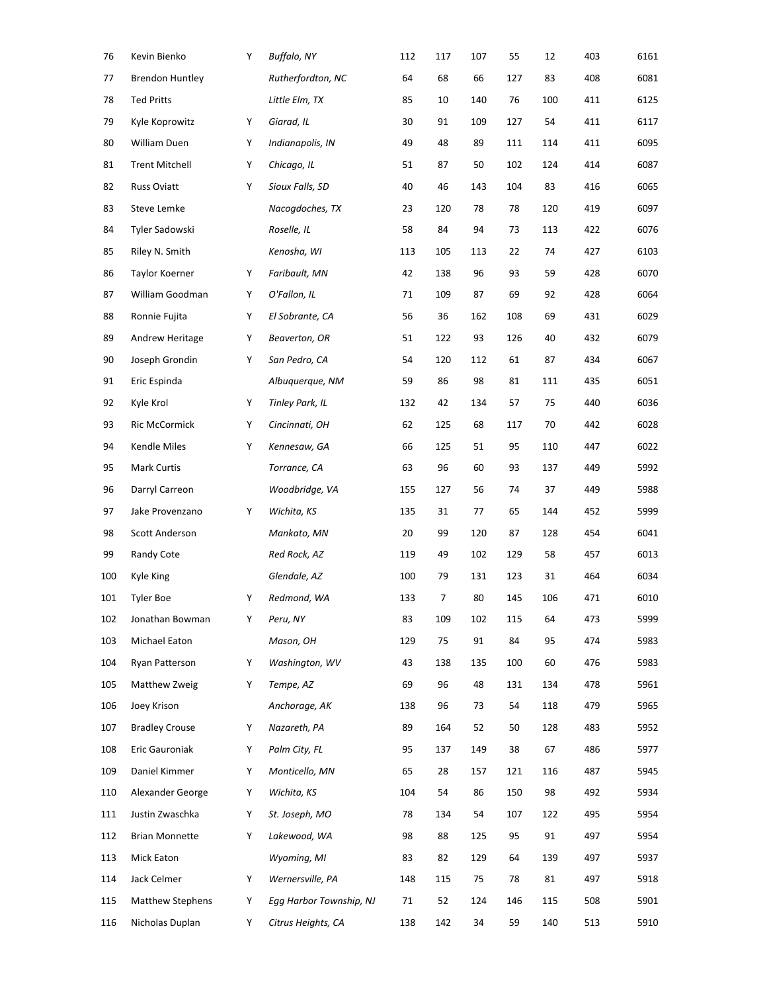| 76  | Kevin Bienko            | Y | <b>Buffalo, NY</b>      | 112 | 117 | 107 | 55  | 12  | 403 | 6161 |
|-----|-------------------------|---|-------------------------|-----|-----|-----|-----|-----|-----|------|
| 77  | <b>Brendon Huntley</b>  |   | Rutherfordton, NC       | 64  | 68  | 66  | 127 | 83  | 408 | 6081 |
| 78  | <b>Ted Pritts</b>       |   | Little Elm, TX          | 85  | 10  | 140 | 76  | 100 | 411 | 6125 |
| 79  | Kyle Koprowitz          | Y | Giarad, IL              | 30  | 91  | 109 | 127 | 54  | 411 | 6117 |
| 80  | William Duen            | Y | Indianapolis, IN        | 49  | 48  | 89  | 111 | 114 | 411 | 6095 |
| 81  | <b>Trent Mitchell</b>   | Y | Chicago, IL             | 51  | 87  | 50  | 102 | 124 | 414 | 6087 |
| 82  | Russ Oviatt             | Y | Sioux Falls, SD         | 40  | 46  | 143 | 104 | 83  | 416 | 6065 |
| 83  | Steve Lemke             |   | Nacogdoches, TX         | 23  | 120 | 78  | 78  | 120 | 419 | 6097 |
| 84  | Tyler Sadowski          |   | Roselle, IL             | 58  | 84  | 94  | 73  | 113 | 422 | 6076 |
| 85  | Riley N. Smith          |   | Kenosha, WI             | 113 | 105 | 113 | 22  | 74  | 427 | 6103 |
| 86  | Taylor Koerner          | Y | Faribault, MN           | 42  | 138 | 96  | 93  | 59  | 428 | 6070 |
| 87  | William Goodman         | Y | O'Fallon, IL            | 71  | 109 | 87  | 69  | 92  | 428 | 6064 |
| 88  | Ronnie Fujita           | Y | El Sobrante, CA         | 56  | 36  | 162 | 108 | 69  | 431 | 6029 |
| 89  | Andrew Heritage         | Y | Beaverton, OR           | 51  | 122 | 93  | 126 | 40  | 432 | 6079 |
| 90  | Joseph Grondin          | Y | San Pedro, CA           | 54  | 120 | 112 | 61  | 87  | 434 | 6067 |
| 91  | Eric Espinda            |   | Albuquerque, NM         | 59  | 86  | 98  | 81  | 111 | 435 | 6051 |
| 92  | Kyle Krol               | Y | <b>Tinley Park, IL</b>  | 132 | 42  | 134 | 57  | 75  | 440 | 6036 |
| 93  | Ric McCormick           | Y | Cincinnati, OH          | 62  | 125 | 68  | 117 | 70  | 442 | 6028 |
| 94  | Kendle Miles            | Y | Kennesaw, GA            | 66  | 125 | 51  | 95  | 110 | 447 | 6022 |
| 95  | <b>Mark Curtis</b>      |   | Torrance, CA            | 63  | 96  | 60  | 93  | 137 | 449 | 5992 |
| 96  | Darryl Carreon          |   | Woodbridge, VA          | 155 | 127 | 56  | 74  | 37  | 449 | 5988 |
| 97  | Jake Provenzano         | Y | Wichita, KS             | 135 | 31  | 77  | 65  | 144 | 452 | 5999 |
| 98  | Scott Anderson          |   | Mankato, MN             | 20  | 99  | 120 | 87  | 128 | 454 | 6041 |
| 99  | Randy Cote              |   | Red Rock, AZ            | 119 | 49  | 102 | 129 | 58  | 457 | 6013 |
| 100 | Kyle King               |   | Glendale, AZ            | 100 | 79  | 131 | 123 | 31  | 464 | 6034 |
| 101 | <b>Tyler Boe</b>        | Y | Redmond, WA             | 133 | 7   | 80  | 145 | 106 | 471 | 6010 |
| 102 | Jonathan Bowman         | Y | Peru, NY                | 83  | 109 | 102 | 115 | 64  | 473 | 5999 |
| 103 | Michael Eaton           |   | Mason, OH               | 129 | 75  | 91  | 84  | 95  | 474 | 5983 |
| 104 | Ryan Patterson          | Y | Washington, WV          | 43  | 138 | 135 | 100 | 60  | 476 | 5983 |
| 105 | Matthew Zweig           | Y | Tempe, AZ               | 69  | 96  | 48  | 131 | 134 | 478 | 5961 |
| 106 | Joey Krison             |   | Anchorage, AK           | 138 | 96  | 73  | 54  | 118 | 479 | 5965 |
| 107 | <b>Bradley Crouse</b>   | Y | Nazareth, PA            | 89  | 164 | 52  | 50  | 128 | 483 | 5952 |
| 108 | Eric Gauroniak          | Y | Palm City, FL           | 95  | 137 | 149 | 38  | 67  | 486 | 5977 |
| 109 | Daniel Kimmer           | Y | Monticello, MN          | 65  | 28  | 157 | 121 | 116 | 487 | 5945 |
| 110 | Alexander George        | Y | Wichita, KS             | 104 | 54  | 86  | 150 | 98  | 492 | 5934 |
| 111 | Justin Zwaschka         | Y | St. Joseph, MO          | 78  | 134 | 54  | 107 | 122 | 495 | 5954 |
| 112 | <b>Brian Monnette</b>   | Y | Lakewood, WA            | 98  | 88  | 125 | 95  | 91  | 497 | 5954 |
| 113 | Mick Eaton              |   | Wyoming, MI             | 83  | 82  | 129 | 64  | 139 | 497 | 5937 |
| 114 | Jack Celmer             | Y | Wernersville, PA        | 148 | 115 | 75  | 78  | 81  | 497 | 5918 |
| 115 | <b>Matthew Stephens</b> | Y | Egg Harbor Township, NJ | 71  | 52  | 124 | 146 | 115 | 508 | 5901 |
| 116 | Nicholas Duplan         | Y | Citrus Heights, CA      | 138 | 142 | 34  | 59  | 140 | 513 | 5910 |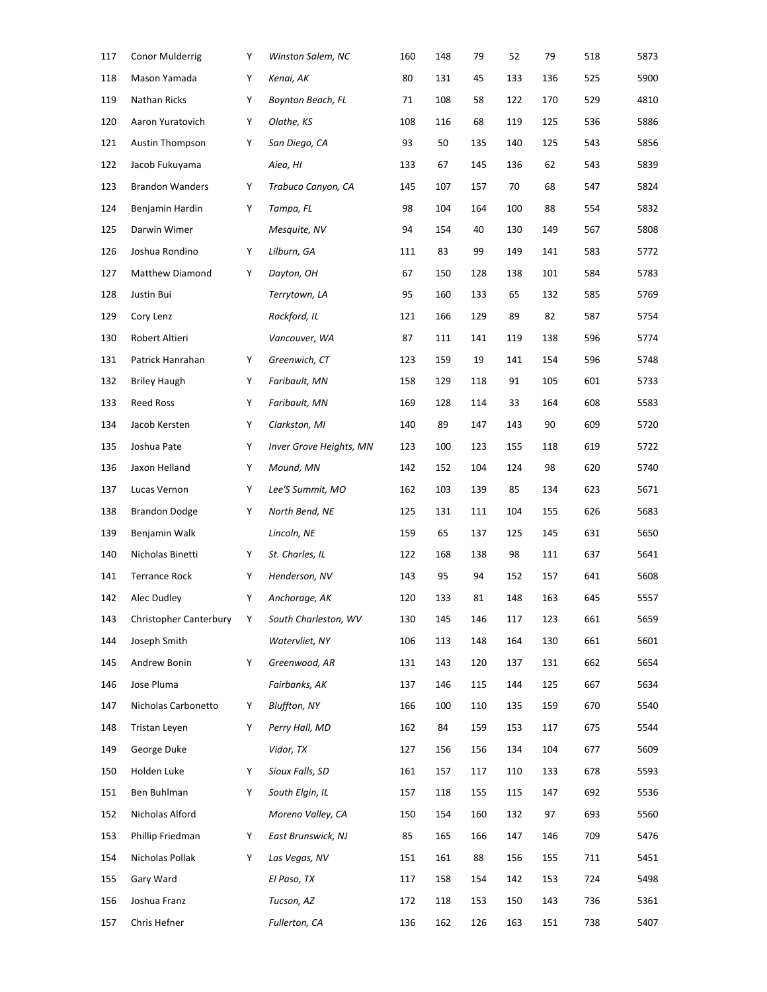| 117 | <b>Conor Mulderrig</b> | Υ | Winston Salem, NC              | 160 | 148 | 79  | 52  | 79  | 518 | 5873 |
|-----|------------------------|---|--------------------------------|-----|-----|-----|-----|-----|-----|------|
| 118 | Mason Yamada           | Υ | Kenai, AK                      | 80  | 131 | 45  | 133 | 136 | 525 | 5900 |
| 119 | Nathan Ricks           | Υ | <b>Boynton Beach, FL</b>       | 71  | 108 | 58  | 122 | 170 | 529 | 4810 |
| 120 | Aaron Yuratovich       | Υ | Olathe, KS                     | 108 | 116 | 68  | 119 | 125 | 536 | 5886 |
| 121 | <b>Austin Thompson</b> | Υ | San Diego, CA                  | 93  | 50  | 135 | 140 | 125 | 543 | 5856 |
| 122 | Jacob Fukuyama         |   | Aiea, HI                       | 133 | 67  | 145 | 136 | 62  | 543 | 5839 |
| 123 | <b>Brandon Wanders</b> | Υ | Trabuco Canyon, CA             | 145 | 107 | 157 | 70  | 68  | 547 | 5824 |
| 124 | Benjamin Hardin        | Υ | Tampa, FL                      | 98  | 104 | 164 | 100 | 88  | 554 | 5832 |
| 125 | Darwin Wimer           |   | Mesquite, NV                   | 94  | 154 | 40  | 130 | 149 | 567 | 5808 |
| 126 | Joshua Rondino         | Υ | Lilburn, GA                    | 111 | 83  | 99  | 149 | 141 | 583 | 5772 |
| 127 | Matthew Diamond        | Υ | Dayton, OH                     | 67  | 150 | 128 | 138 | 101 | 584 | 5783 |
| 128 | Justin Bui             |   | Terrytown, LA                  | 95  | 160 | 133 | 65  | 132 | 585 | 5769 |
| 129 | Cory Lenz              |   | Rockford, IL                   | 121 | 166 | 129 | 89  | 82  | 587 | 5754 |
| 130 | Robert Altieri         |   | Vancouver, WA                  | 87  | 111 | 141 | 119 | 138 | 596 | 5774 |
| 131 | Patrick Hanrahan       | Υ | Greenwich, CT                  | 123 | 159 | 19  | 141 | 154 | 596 | 5748 |
| 132 | <b>Briley Haugh</b>    | Υ | Faribault, MN                  | 158 | 129 | 118 | 91  | 105 | 601 | 5733 |
| 133 | <b>Reed Ross</b>       | Υ | Faribault, MN                  | 169 | 128 | 114 | 33  | 164 | 608 | 5583 |
| 134 | Jacob Kersten          | Υ | Clarkston, MI                  | 140 | 89  | 147 | 143 | 90  | 609 | 5720 |
| 135 | Joshua Pate            | Υ | <b>Inver Grove Heights, MN</b> | 123 | 100 | 123 | 155 | 118 | 619 | 5722 |
| 136 | Jaxon Helland          | Υ | Mound, MN                      | 142 | 152 | 104 | 124 | 98  | 620 | 5740 |
| 137 | Lucas Vernon           | Υ | Lee'S Summit, MO               | 162 | 103 | 139 | 85  | 134 | 623 | 5671 |
| 138 | <b>Brandon Dodge</b>   | Υ | North Bend, NE                 | 125 | 131 | 111 | 104 | 155 | 626 | 5683 |
| 139 | Benjamin Walk          |   | Lincoln, NE                    | 159 | 65  | 137 | 125 | 145 | 631 | 5650 |
| 140 | Nicholas Binetti       | Υ | St. Charles, IL                | 122 | 168 | 138 | 98  | 111 | 637 | 5641 |
| 141 | <b>Terrance Rock</b>   | Υ | Henderson, NV                  | 143 | 95  | 94  | 152 | 157 | 641 | 5608 |
| 142 | Alec Dudley            | Υ | Anchorage, AK                  | 120 | 133 | 81  | 148 | 163 | 645 | 5557 |
| 143 | Christopher Canterbury | Υ | South Charleston, WV           | 130 | 145 | 146 | 117 | 123 | 661 | 5659 |
| 144 | Joseph Smith           |   | Watervliet, NY                 | 106 | 113 | 148 | 164 | 130 | 661 | 5601 |
| 145 | Andrew Bonin           | Y | Greenwood, AR                  | 131 | 143 | 120 | 137 | 131 | 662 | 5654 |
| 146 | Jose Pluma             |   | Fairbanks, AK                  | 137 | 146 | 115 | 144 | 125 | 667 | 5634 |
| 147 | Nicholas Carbonetto    | Υ | <b>Bluffton, NY</b>            | 166 | 100 | 110 | 135 | 159 | 670 | 5540 |
| 148 | <b>Tristan Leven</b>   | Υ | Perry Hall, MD                 | 162 | 84  | 159 | 153 | 117 | 675 | 5544 |
| 149 | George Duke            |   | Vidor, TX                      | 127 | 156 | 156 | 134 | 104 | 677 | 5609 |
| 150 | Holden Luke            | Y | Sioux Falls, SD                | 161 | 157 | 117 | 110 | 133 | 678 | 5593 |
| 151 | Ben Buhlman            | Y | South Elgin, IL                | 157 | 118 | 155 | 115 | 147 | 692 | 5536 |
| 152 | Nicholas Alford        |   | Moreno Valley, CA              | 150 | 154 | 160 | 132 | 97  | 693 | 5560 |
| 153 | Phillip Friedman       | Y | East Brunswick, NJ             | 85  | 165 | 166 | 147 | 146 | 709 | 5476 |
| 154 | Nicholas Pollak        | Y | Las Vegas, NV                  | 151 | 161 | 88  | 156 | 155 | 711 | 5451 |
| 155 | Gary Ward              |   | El Paso, TX                    | 117 | 158 | 154 | 142 | 153 | 724 | 5498 |
| 156 | Joshua Franz           |   | Tucson, AZ                     | 172 | 118 | 153 | 150 | 143 | 736 | 5361 |
| 157 | Chris Hefner           |   | Fullerton, CA                  | 136 | 162 | 126 | 163 | 151 | 738 | 5407 |